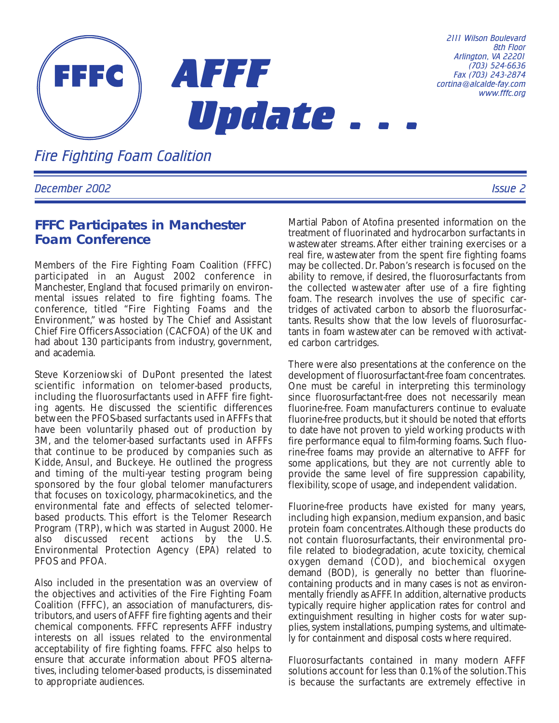

*2111 Wilson Boulevard 8th Floor Arlington, VA 22201 (703) 524-6636 Fax (703) 243-2874 cortina@alcalde-fay.com www.fffc.org*

*Fire Fighting Foam Coalition*

*December 2002 Issue 2*

### **FFFC Participates in Manchester Foam Conference**

Members of the Fire Fighting Foam Coalition (FFFC) participated in an August 2002 conference in Manchester, England that focused primarily on environmental issues related to fire fighting foams. The conference, titled "Fire Fighting Foams and the Environment," was hosted by The Chief and Assistant Chief Fire Officers Association (CACFOA) of the UK and had about 130 participants from industry, government, and academia.

Steve Korzeniowski of DuPont presented the latest scientific information on telomer-based products, including the fluorosurfactants used in AFFF fire fighting agents. He discussed the scientific differences between the PFOS-based surfactants used in AFFFs that have been voluntarily phased out of production by 3M, and the telomer-based surfactants used in AFFFs that continue to be produced by companies such as Kidde, Ansul, and Buckeye. He outlined the progress and timing of the multi-year testing program being sponsored by the four global telomer manufacturers that focuses on toxicology, pharmacokinetics, and the environmental fate and effects of selected telomerbased products. This effort is the Telomer Research Program (TRP), which was started in August 2000. He also discussed recent actions by the U.S. Environmental Protection Agency (EPA) related to PFOS and PFOA.

Also included in the presentation was an overview of the objectives and activities of the Fire Fighting Foam Coalition (FFFC), an association of manufacturers, distributors,and users of AFFF fire fighting agents and their chemical components. FFFC represents AFFF industry interests on all issues related to the environmental acceptability of fire fighting foams. FFFC also helps to ensure that accurate information about PFOS alternatives, including telomer-based products, is disseminated to appropriate audiences.

Martial Pabon of Atofina presented information on the treatment of fluorinated and hydrocarbon surfactants in wastewater streams.After either training exercises or a real fire, wastewater from the spent fire fighting foams may be collected. Dr. Pabon's research is focused on the ability to remove, if desired, the fluorosurfactants from the collected wastewater after use of a fire fighting foam. The research involves the use of specific cartridges of activated carbon to absorb the fluorosurfactants. Results show that the low levels of fluorosurfactants in foam wastewater can be removed with activated carbon cartridges.

There were also presentations at the conference on the development of fluorosurfactant-free foam concentrates. One must be careful in interpreting this terminology since fluorosurfactant-free does not necessarily mean fluorine-free. Foam manufacturers continue to evaluate fluorine-free products, but it should be noted that efforts to date have not proven to yield working products with fire performance equal to film-forming foams. Such fluorine-free foams may provide an alternative to AFFF for some applications, but they are not currently able to provide the same level of fire suppression capability, flexibility, scope of usage, and independent validation.

Fluorine-free products have existed for many years, including high expansion, medium expansion, and basic protein foam concentrates.Although these products do not contain fluorosurfactants, their environmental profile related to biodegradation, acute toxicity, chemical oxygen demand (COD), and biochemical oxygen demand (BOD), is generally no better than fluorinecontaining products and in many cases is not as environmentally friendly as AFFF. In addition, alternative products typically require higher application rates for control and extinguishment resulting in higher costs for water supplies, system installations, pumping systems, and ultimately for containment and disposal costs where required.

Fluorosurfactants contained in many modern AFFF solutions account for less than 0.1% of the solution.This is because the surfactants are extremely effective in